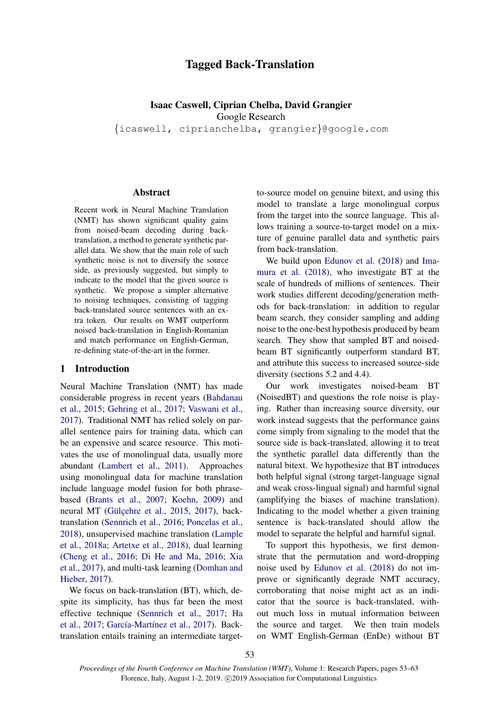# Tagged Back-Translation

## Isaac Caswell, Ciprian Chelba, David Grangier Google Research

{icaswell, ciprianchelba, grangier}@google.com

### Abstract

Recent work in Neural Machine Translation (NMT) has shown significant quality gains from noised-beam decoding during backtranslation, a method to generate synthetic parallel data. We show that the main role of such synthetic noise is not to diversify the source side, as previously suggested, but simply to indicate to the model that the given source is synthetic. We propose a simpler alternative to noising techniques, consisting of tagging back-translated source sentences with an extra token. Our results on WMT outperform noised back-translation in English-Romanian and match performance on English-German, re-defining state-of-the-art in the former.

### 1 Introduction

Neural Machine Translation (NMT) has made considerable progress in recent years [\(Bahdanau](#page-8-0) [et al.,](#page-8-0) [2015;](#page-8-0) [Gehring et al.,](#page-9-0) [2017;](#page-9-0) [Vaswani et al.,](#page-10-0) [2017\)](#page-10-0). Traditional NMT has relied solely on parallel sentence pairs for training data, which can be an expensive and scarce resource. This motivates the use of monolingual data, usually more abundant [\(Lambert et al.,](#page-9-1) [2011\)](#page-9-1). Approaches using monolingual data for machine translation include language model fusion for both phrasebased [\(Brants et al.,](#page-8-1) [2007;](#page-8-1) [Koehn,](#page-9-2) [2009\)](#page-9-2) and neural MT (Gülçehre et al., [2015,](#page-9-3) [2017\)](#page-9-4), backtranslation [\(Sennrich et al.,](#page-10-1) [2016;](#page-10-1) [Poncelas et al.,](#page-10-2) [2018\)](#page-10-2), unsupervised machine translation [\(Lample](#page-10-3) [et al.,](#page-10-3) [2018a;](#page-10-3) [Artetxe et al.,](#page-8-2) [2018\)](#page-8-2), dual learning [\(Cheng et al.,](#page-9-5) [2016;](#page-9-5) [Di He and Ma,](#page-9-6) [2016;](#page-9-6) [Xia](#page-10-4) [et al.,](#page-10-4) [2017\)](#page-10-4), and multi-task learning [\(Domhan and](#page-9-7) [Hieber,](#page-9-7) [2017\)](#page-9-7).

We focus on back-translation (BT), which, despite its simplicity, has thus far been the most effective technique [\(Sennrich et al.,](#page-10-5) [2017;](#page-10-5) [Ha](#page-9-8) [et al.,](#page-9-8) [2017;](#page-9-8) García-Martínez et al., [2017\)](#page-9-9). Backtranslation entails training an intermediate target-

to-source model on genuine bitext, and using this model to translate a large monolingual corpus from the target into the source language. This allows training a source-to-target model on a mixture of genuine parallel data and synthetic pairs from back-translation.

We build upon [Edunov et al.](#page-9-10) [\(2018\)](#page-9-10) and [Ima](#page-9-11)[mura et al.](#page-9-11) [\(2018\)](#page-9-11), who investigate BT at the scale of hundreds of millions of sentences. Their work studies different decoding/generation methods for back-translation: in addition to regular beam search, they consider sampling and adding noise to the one-best hypothesis produced by beam search. They show that sampled BT and noisedbeam BT significantly outperform standard BT, and attribute this success to increased source-side diversity (sections 5.2 and 4.4).

Our work investigates noised-beam BT (NoisedBT) and questions the role noise is playing. Rather than increasing source diversity, our work instead suggests that the performance gains come simply from signaling to the model that the source side is back-translated, allowing it to treat the synthetic parallel data differently than the natural bitext. We hypothesize that BT introduces both helpful signal (strong target-language signal and weak cross-lingual signal) and harmful signal (amplifying the biases of machine translation). Indicating to the model whether a given training sentence is back-translated should allow the model to separate the helpful and harmful signal.

To support this hypothesis, we first demonstrate that the permutation and word-dropping noise used by [Edunov et al.](#page-9-10) [\(2018\)](#page-9-10) do not improve or significantly degrade NMT accuracy, corroborating that noise might act as an indicator that the source is back-translated, without much loss in mutual information between the source and target. We then train models on WMT English-German (EnDe) without BT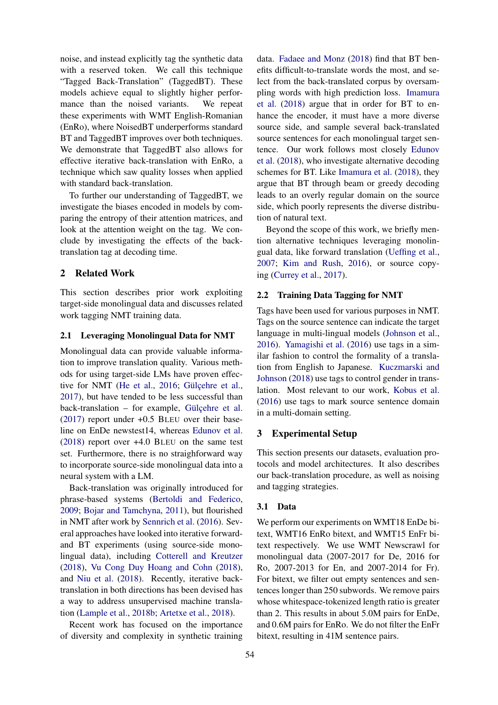noise, and instead explicitly tag the synthetic data with a reserved token. We call this technique "Tagged Back-Translation" (TaggedBT). These models achieve equal to slightly higher performance than the noised variants. We repeat these experiments with WMT English-Romanian (EnRo), where NoisedBT underperforms standard BT and TaggedBT improves over both techniques. We demonstrate that TaggedBT also allows for effective iterative back-translation with EnRo, a technique which saw quality losses when applied with standard back-translation.

To further our understanding of TaggedBT, we investigate the biases encoded in models by comparing the entropy of their attention matrices, and look at the attention weight on the tag. We conclude by investigating the effects of the backtranslation tag at decoding time.

## 2 Related Work

This section describes prior work exploiting target-side monolingual data and discusses related work tagging NMT training data.

### 2.1 Leveraging Monolingual Data for NMT

Monolingual data can provide valuable information to improve translation quality. Various methods for using target-side LMs have proven effec-tive for NMT [\(He et al.,](#page-9-12) [2016;](#page-9-12) Gülçehre et al., [2017\)](#page-9-4), but have tended to be less successful than  $back-translation - for example, Gilcenter et al.$ [\(2017\)](#page-9-4) report under +0.5 BLEU over their baseline on EnDe newstest14, whereas [Edunov et al.](#page-9-10) [\(2018\)](#page-9-10) report over +4.0 BLEU on the same test set. Furthermore, there is no straighforward way to incorporate source-side monolingual data into a neural system with a LM.

Back-translation was originally introduced for phrase-based systems [\(Bertoldi and Federico,](#page-8-3) [2009;](#page-8-3) [Bojar and Tamchyna,](#page-8-4) [2011\)](#page-8-4), but flourished in NMT after work by [Sennrich et al.](#page-10-1) [\(2016\)](#page-10-1). Several approaches have looked into iterative forwardand BT experiments (using source-side monolingual data), including [Cotterell and Kreutzer](#page-9-13) [\(2018\)](#page-9-13), [Vu Cong Duy Hoang and Cohn](#page-10-6) [\(2018\)](#page-10-6), and [Niu et al.](#page-10-7) [\(2018\)](#page-10-7). Recently, iterative backtranslation in both directions has been devised has a way to address unsupervised machine translation [\(Lample et al.,](#page-10-8) [2018b;](#page-10-8) [Artetxe et al.,](#page-8-2) [2018\)](#page-8-2).

Recent work has focused on the importance of diversity and complexity in synthetic training

data. [Fadaee and Monz](#page-9-14) [\(2018\)](#page-9-14) find that BT benefits difficult-to-translate words the most, and select from the back-translated corpus by oversampling words with high prediction loss. [Imamura](#page-9-11) [et al.](#page-9-11) [\(2018\)](#page-9-11) argue that in order for BT to enhance the encoder, it must have a more diverse source side, and sample several back-translated source sentences for each monolingual target sentence. Our work follows most closely [Edunov](#page-9-10) [et al.](#page-9-10) [\(2018\)](#page-9-10), who investigate alternative decoding schemes for BT. Like [Imamura et al.](#page-9-11) [\(2018\)](#page-9-11), they argue that BT through beam or greedy decoding leads to an overly regular domain on the source side, which poorly represents the diverse distribution of natural text.

Beyond the scope of this work, we briefly mention alternative techniques leveraging monolingual data, like forward translation [\(Ueffing et al.,](#page-10-9) [2007;](#page-10-9) [Kim and Rush,](#page-9-15) [2016\)](#page-9-15), or source copying [\(Currey et al.,](#page-9-16) [2017\)](#page-9-16).

#### 2.2 Training Data Tagging for NMT

Tags have been used for various purposes in NMT. Tags on the source sentence can indicate the target language in multi-lingual models [\(Johnson et al.,](#page-9-17) [2016\)](#page-9-17). [Yamagishi et al.](#page-10-10) [\(2016\)](#page-10-10) use tags in a similar fashion to control the formality of a translation from English to Japanese. [Kuczmarski and](#page-9-18) [Johnson](#page-9-18) [\(2018\)](#page-9-18) use tags to control gender in translation. Most relevant to our work, [Kobus et al.](#page-9-19) [\(2016\)](#page-9-19) use tags to mark source sentence domain in a multi-domain setting.

### 3 Experimental Setup

This section presents our datasets, evaluation protocols and model architectures. It also describes our back-translation procedure, as well as noising and tagging strategies.

#### 3.1 Data

We perform our experiments on WMT18 EnDe bitext, WMT16 EnRo bitext, and WMT15 EnFr bitext respectively. We use WMT Newscrawl for monolingual data (2007-2017 for De, 2016 for Ro, 2007-2013 for En, and 2007-2014 for Fr). For bitext, we filter out empty sentences and sentences longer than 250 subwords. We remove pairs whose whitespace-tokenized length ratio is greater than 2. This results in about 5.0M pairs for EnDe, and 0.6M pairs for EnRo. We do not filter the EnFr bitext, resulting in 41M sentence pairs.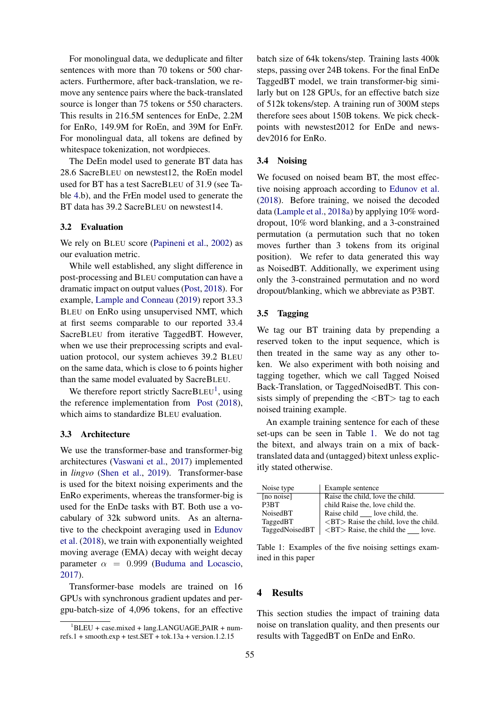For monolingual data, we deduplicate and filter sentences with more than 70 tokens or 500 characters. Furthermore, after back-translation, we remove any sentence pairs where the back-translated source is longer than 75 tokens or 550 characters. This results in 216.5M sentences for EnDe, 2.2M for EnRo, 149.9M for RoEn, and 39M for EnFr. For monolingual data, all tokens are defined by whitespace tokenization, not wordpieces.

The DeEn model used to generate BT data has 28.6 SacreBLEU on newstest12, the RoEn model used for BT has a test SacreBLEU of 31.9 (see Table [4.](#page-4-0)b), and the FrEn model used to generate the BT data has 39.2 SacreBLEU on newstest14.

#### 3.2 Evaluation

We rely on BLEU score [\(Papineni et al.,](#page-10-11) [2002\)](#page-10-11) as our evaluation metric.

While well established, any slight difference in post-processing and BLEU computation can have a dramatic impact on output values [\(Post,](#page-10-12) [2018\)](#page-10-12). For example, [Lample and Conneau](#page-10-13) [\(2019\)](#page-10-13) report 33.3 BLEU on EnRo using unsupervised NMT, which at first seems comparable to our reported 33.4 SacreBLEU from iterative TaggedBT. However, when we use their preprocessing scripts and evaluation protocol, our system achieves 39.2 BLEU on the same data, which is close to 6 points higher than the same model evaluated by SacreBLEU.

We therefore report strictly SacreBLEU<sup>[1](#page-2-0)</sup>, using the reference implementation from [Post](#page-10-12) [\(2018\)](#page-10-12), which aims to standardize BLEU evaluation.

#### 3.3 Architecture

We use the transformer-base and transformer-big architectures [\(Vaswani et al.,](#page-10-0) [2017\)](#page-10-0) implemented in *lingvo* [\(Shen et al.,](#page-10-14) [2019\)](#page-10-14). Transformer-base is used for the bitext noising experiments and the EnRo experiments, whereas the transformer-big is used for the EnDe tasks with BT. Both use a vocabulary of 32k subword units. As an alternative to the checkpoint averaging used in [Edunov](#page-9-10) [et al.](#page-9-10) [\(2018\)](#page-9-10), we train with exponentially weighted moving average (EMA) decay with weight decay parameter  $\alpha = 0.999$  [\(Buduma and Locascio,](#page-9-20) [2017\)](#page-9-20).

Transformer-base models are trained on 16 GPUs with synchronous gradient updates and pergpu-batch-size of 4,096 tokens, for an effective batch size of 64k tokens/step. Training lasts 400k steps, passing over 24B tokens. For the final EnDe TaggedBT model, we train transformer-big similarly but on 128 GPUs, for an effective batch size of 512k tokens/step. A training run of 300M steps therefore sees about 150B tokens. We pick checkpoints with newstest2012 for EnDe and newsdev2016 for EnRo.

## <span id="page-2-2"></span>3.4 Noising

We focused on noised beam BT, the most effective noising approach according to [Edunov et al.](#page-9-10) [\(2018\)](#page-9-10). Before training, we noised the decoded data [\(Lample et al.,](#page-10-3) [2018a\)](#page-10-3) by applying 10% worddropout, 10% word blanking, and a 3-constrained permutation (a permutation such that no token moves further than 3 tokens from its original position). We refer to data generated this way as NoisedBT. Additionally, we experiment using only the 3-constrained permutation and no word dropout/blanking, which we abbreviate as P3BT.

#### <span id="page-2-3"></span>3.5 Tagging

We tag our BT training data by prepending a reserved token to the input sequence, which is then treated in the same way as any other token. We also experiment with both noising and tagging together, which we call Tagged Noised Back-Translation, or TaggedNoisedBT. This consists simply of prepending the  $\langle BT \rangle$  tag to each noised training example.

An example training sentence for each of these set-ups can be seen in Table [1.](#page-2-1) We do not tag the bitext, and always train on a mix of backtranslated data and (untagged) bitext unless explicitly stated otherwise.

<span id="page-2-1"></span>

| Noise type        | Example sentence                                      |
|-------------------|-------------------------------------------------------|
| [no noise]        | Raise the child, love the child.                      |
| P <sub>3</sub> BT | child Raise the, love child the.                      |
| NoisedBT          | Raise child love child, the.                          |
| TaggedBT          | $\langle BT \rangle$ Raise the child, love the child. |
| TaggedNoisedBT    | $\langle$ BT $\rangle$ Raise, the child the<br>love.  |

Table 1: Examples of the five noising settings examined in this paper

## 4 Results

This section studies the impact of training data noise on translation quality, and then presents our results with TaggedBT on EnDe and EnRo.

<span id="page-2-0"></span> $1$ BLEU + case.mixed + lang.LANGUAGE\_PAIR + numrefs.1 + smooth.exp + test.SET + tok.13a + version.1.2.15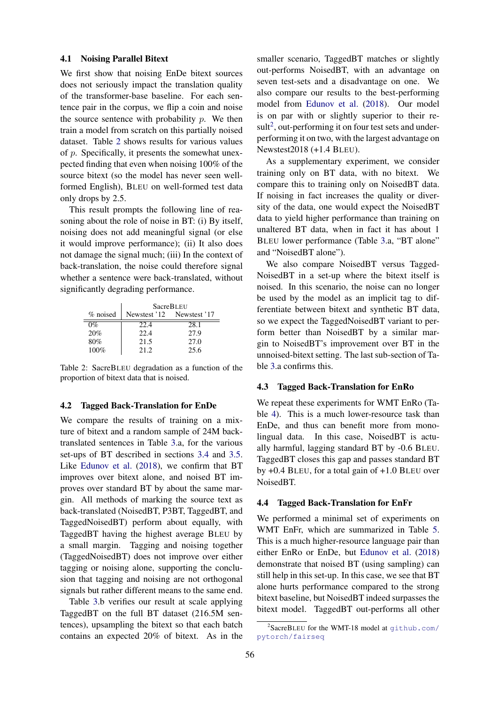#### 4.1 Noising Parallel Bitext

We first show that noising EnDe bitext sources does not seriously impact the translation quality of the transformer-base baseline. For each sentence pair in the corpus, we flip a coin and noise the source sentence with probability  $p$ . We then train a model from scratch on this partially noised dataset. Table [2](#page-3-0) shows results for various values of p. Specifically, it presents the somewhat unexpected finding that even when noising 100% of the source bitext (so the model has never seen wellformed English), BLEU on well-formed test data only drops by 2.5.

This result prompts the following line of reasoning about the role of noise in BT: (i) By itself, noising does not add meaningful signal (or else it would improve performance); (ii) It also does not damage the signal much; (iii) In the context of back-translation, the noise could therefore signal whether a sentence were back-translated, without significantly degrading performance.

<span id="page-3-0"></span>

|          | <b>SacreBLEU</b> |                           |  |  |  |  |  |
|----------|------------------|---------------------------|--|--|--|--|--|
| % noised |                  | Newstest '12 Newstest '17 |  |  |  |  |  |
| $0\%$    | 22.4             | 28.1                      |  |  |  |  |  |
| 20%      | 22.4             | 27.9                      |  |  |  |  |  |
| 80%      | 21.5             | 27.0                      |  |  |  |  |  |
| $100\%$  | 21.2             | 25.6                      |  |  |  |  |  |

Table 2: SacreBLEU degradation as a function of the proportion of bitext data that is noised.

#### 4.2 Tagged Back-Translation for EnDe

We compare the results of training on a mixture of bitext and a random sample of 24M backtranslated sentences in Table [3.](#page-4-1)a, for the various set-ups of BT described in sections [3.4](#page-2-2) and [3.5.](#page-2-3) Like [Edunov et al.](#page-9-10) [\(2018\)](#page-9-10), we confirm that BT improves over bitext alone, and noised BT improves over standard BT by about the same margin. All methods of marking the source text as back-translated (NoisedBT, P3BT, TaggedBT, and TaggedNoisedBT) perform about equally, with TaggedBT having the highest average BLEU by a small margin. Tagging and noising together (TaggedNoisedBT) does not improve over either tagging or noising alone, supporting the conclusion that tagging and noising are not orthogonal signals but rather different means to the same end.

Table [3.](#page-4-1)b verifies our result at scale applying TaggedBT on the full BT dataset (216.5M sentences), upsampling the bitext so that each batch contains an expected 20% of bitext. As in the

smaller scenario, TaggedBT matches or slightly out-performs NoisedBT, with an advantage on seven test-sets and a disadvantage on one. We also compare our results to the best-performing model from [Edunov et al.](#page-9-10) [\(2018\)](#page-9-10). Our model is on par with or slightly superior to their re- $sult<sup>2</sup>$  $sult<sup>2</sup>$  $sult<sup>2</sup>$ , out-performing it on four test sets and underperforming it on two, with the largest advantage on Newstest2018 (+1.4 BLEU).

As a supplementary experiment, we consider training only on BT data, with no bitext. We compare this to training only on NoisedBT data. If noising in fact increases the quality or diversity of the data, one would expect the NoisedBT data to yield higher performance than training on unaltered BT data, when in fact it has about 1 BLEU lower performance (Table [3.](#page-4-1)a, "BT alone" and "NoisedBT alone").

We also compare NoisedBT versus Tagged-NoisedBT in a set-up where the bitext itself is noised. In this scenario, the noise can no longer be used by the model as an implicit tag to differentiate between bitext and synthetic BT data, so we expect the TaggedNoisedBT variant to perform better than NoisedBT by a similar margin to NoisedBT's improvement over BT in the unnoised-bitext setting. The last sub-section of Table [3.](#page-4-1)a confirms this.

#### 4.3 Tagged Back-Translation for EnRo

We repeat these experiments for WMT EnRo (Table [4\)](#page-4-0). This is a much lower-resource task than EnDe, and thus can benefit more from monolingual data. In this case, NoisedBT is actually harmful, lagging standard BT by -0.6 BLEU. TaggedBT closes this gap and passes standard BT by +0.4 BLEU, for a total gain of +1.0 BLEU over NoisedBT.

### 4.4 Tagged Back-Translation for EnFr

We performed a minimal set of experiments on WMT EnFr, which are summarized in Table [5.](#page-5-0) This is a much higher-resource language pair than either EnRo or EnDe, but [Edunov et al.](#page-9-10) [\(2018\)](#page-9-10) demonstrate that noised BT (using sampling) can still help in this set-up. In this case, we see that BT alone hurts performance compared to the strong bitext baseline, but NoisedBT indeed surpasses the bitext model. TaggedBT out-performs all other

<span id="page-3-1"></span><sup>&</sup>lt;sup>2</sup>SacreBLEU for the WMT-18 model at [github.com/](github.com/pytorch/fairseq) [pytorch/fairseq](github.com/pytorch/fairseq)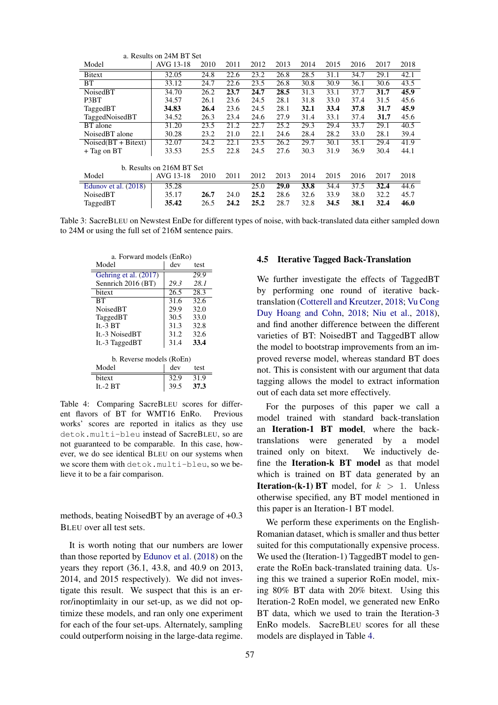<span id="page-4-1"></span>

| a. Results on 24M BT Set  |           |      |      |      |      |      |      |      |      |      |
|---------------------------|-----------|------|------|------|------|------|------|------|------|------|
| Model                     | AVG 13-18 | 2010 | 2011 | 2012 | 2013 | 2014 | 2015 | 2016 | 2017 | 2018 |
| Bitext                    | 32.05     | 24.8 | 22.6 | 23.2 | 26.8 | 28.5 | 31.1 | 34.7 | 29.1 | 42.1 |
| BT                        | 33.12     | 24.7 | 22.6 | 23.5 | 26.8 | 30.8 | 30.9 | 36.1 | 30.6 | 43.5 |
| NoisedBT                  | 34.70     | 26.2 | 23.7 | 24.7 | 28.5 | 31.3 | 33.1 | 37.7 | 31.7 | 45.9 |
| P3BT                      | 34.57     | 26.1 | 23.6 | 24.5 | 28.1 | 31.8 | 33.0 | 37.4 | 31.5 | 45.6 |
| TaggedBT                  | 34.83     | 26.4 | 23.6 | 24.5 | 28.1 | 32.1 | 33.4 | 37.8 | 31.7 | 45.9 |
| TaggedNoisedBT            | 34.52     | 26.3 | 23.4 | 24.6 | 27.9 | 31.4 | 33.1 | 37.4 | 31.7 | 45.6 |
| BT alone                  | 31.20     | 23.5 | 21.2 | 22.7 | 25.2 | 29.3 | 29.4 | 33.7 | 29.1 | 40.5 |
| NoisedBT alone            | 30.28     | 23.2 | 21.0 | 22.1 | 24.6 | 28.4 | 28.2 | 33.0 | 28.1 | 39.4 |
| $Noised(BT + Bitext)$     | 32.07     | 24.2 | 22.1 | 23.5 | 26.2 | 29.7 | 30.1 | 35.1 | 29.4 | 41.9 |
| $+$ Tag on BT             | 33.53     | 25.5 | 22.8 | 24.5 | 27.6 | 30.3 | 31.9 | 36.9 | 30.4 | 44.1 |
| b. Results on 216M BT Set |           |      |      |      |      |      |      |      |      |      |
| Model                     | AVG 13-18 | 2010 | 2011 | 2012 | 2013 | 2014 | 2015 | 2016 | 2017 | 2018 |
| Edunov et al. $(2018)$    | 35.28     |      |      | 25.0 | 29.0 | 33.8 | 34.4 | 37.5 | 32.4 | 44.6 |
| NoisedBT                  | 35.17     | 26.7 | 24.0 | 25.2 | 28.6 | 32.6 | 33.9 | 38.0 | 32.2 | 45.7 |
| TaggedBT                  | 35.42     | 26.5 | 24.2 | 25.2 | 28.7 | 32.8 | 34.5 | 38.1 | 32.4 | 46.0 |

<span id="page-4-0"></span>Table 3: SacreBLEU on Newstest EnDe for different types of noise, with back-translated data either sampled down to 24M or using the full set of 216M sentence pairs.

| a. Forward models (EnRo) |      |      |
|--------------------------|------|------|
| Model                    | dev  | test |
| Gehring et al. (2017)    |      | 29.9 |
| Sennrich 2016 (BT)       | 29.3 | 28.1 |
| bitext                   | 26.5 | 28.3 |
| BТ                       | 31.6 | 32.6 |
| <b>NoisedBT</b>          | 29.9 | 32.0 |
| TaggedBT                 | 30.5 | 33.0 |
| $It - 3 BT$              | 31.3 | 32.8 |
| It.-3 NoisedBT           | 31.2 | 32.6 |
| It.-3 TaggedBT           | 31.4 | 33.4 |
|                          |      |      |
| b. Reverse models (RoEn) |      |      |
| Model                    | dev  | test |
| bitext                   | 32.9 | 31.9 |
| It.-2 BT                 | 39.5 | 37.3 |

Table 4: Comparing SacreBLEU scores for different flavors of BT for WMT16 EnRo. Previous works' scores are reported in italics as they use detok.multi-bleu instead of SacreBLEU, so are not guaranteed to be comparable. In this case, however, we do see identical BLEU on our systems when we score them with detok.multi-bleu, so we believe it to be a fair comparison.

methods, beating NoisedBT by an average of +0.3 BLEU over all test sets.

It is worth noting that our numbers are lower than those reported by [Edunov et al.](#page-9-10) [\(2018\)](#page-9-10) on the years they report (36.1, 43.8, and 40.9 on 2013, 2014, and 2015 respectively). We did not investigate this result. We suspect that this is an error/inoptimlaity in our set-up, as we did not optimize these models, and ran only one experiment for each of the four set-ups. Alternately, sampling could outperform noising in the large-data regime.

### 4.5 Iterative Tagged Back-Translation

We further investigate the effects of TaggedBT by performing one round of iterative backtranslation [\(Cotterell and Kreutzer,](#page-9-13) [2018;](#page-9-13) [Vu Cong](#page-10-6) [Duy Hoang and Cohn,](#page-10-6) [2018;](#page-10-6) [Niu et al.,](#page-10-7) [2018\)](#page-10-7), and find another difference between the different varieties of BT: NoisedBT and TaggedBT allow the model to bootstrap improvements from an improved reverse model, whereas standard BT does not. This is consistent with our argument that data tagging allows the model to extract information out of each data set more effectively.

For the purposes of this paper we call a model trained with standard back-translation an Iteration-1 BT model, where the backtranslations were generated by a model trained only on bitext. We inductively define the Iteration-k BT model as that model which is trained on BT data generated by an **Iteration-(k-1) BT** model, for  $k > 1$ . Unless otherwise specified, any BT model mentioned in this paper is an Iteration-1 BT model.

We perform these experiments on the English-Romanian dataset, which is smaller and thus better suited for this computationally expensive process. We used the (Iteration-1) TaggedBT model to generate the RoEn back-translated training data. Using this we trained a superior RoEn model, mixing 80% BT data with 20% bitext. Using this Iteration-2 RoEn model, we generated new EnRo BT data, which we used to train the Iteration-3 EnRo models. SacreBLEU scores for all these models are displayed in Table [4.](#page-4-0)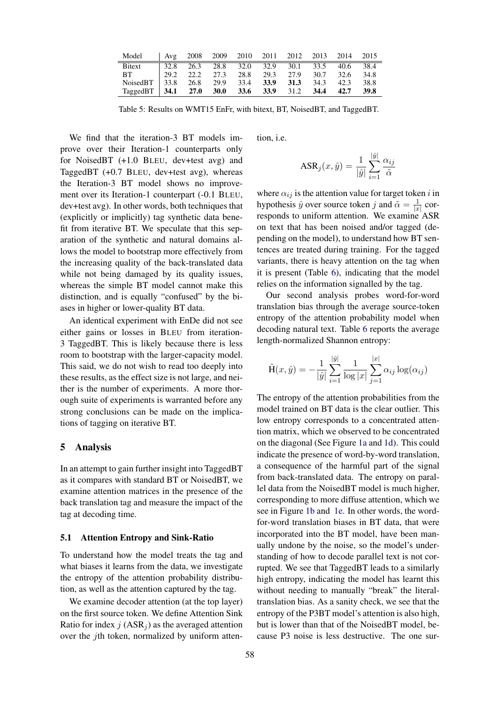<span id="page-5-0"></span>

| Model         | Avg  | 2008 |             | 2009 2010 2011 2012           |      |      | 2013 | 2014  | 2015 |
|---------------|------|------|-------------|-------------------------------|------|------|------|-------|------|
| <b>Bitext</b> | 32.8 |      |             | 26.3 28.8 32.0 32.9 30.1 33.5 |      |      |      | -40.6 | 38.4 |
| BT.           | 29.2 | 22.2 | 27.3        | 28.8                          | 29.3 | 27.9 | 30.7 | 32.6  | 34.8 |
| NoisedBT      | 33.8 | 26.8 | 29.9        | 33.4                          | 33.9 | 31.3 | 34.3 | 42.3  | 38.8 |
| TaggedBT      | 34.1 | 27.0 | <b>30.0</b> | <b>33.6</b>                   | 33.9 | 31.2 | 34.4 | 42.7  | 39.8 |

Table 5: Results on WMT15 EnFr, with bitext, BT, NoisedBT, and TaggedBT.

We find that the iteration-3 BT models improve over their Iteration-1 counterparts only for NoisedBT (+1.0 BLEU, dev+test avg) and TaggedBT (+0.7 BLEU, dev+test avg), whereas the Iteration-3 BT model shows no improvement over its Iteration-1 counterpart (-0.1 BLEU, dev+test avg). In other words, both techniques that (explicitly or implicitly) tag synthetic data benefit from iterative BT. We speculate that this separation of the synthetic and natural domains allows the model to bootstrap more effectively from the increasing quality of the back-translated data while not being damaged by its quality issues, whereas the simple BT model cannot make this distinction, and is equally "confused" by the biases in higher or lower-quality BT data.

An identical experiment with EnDe did not see either gains or losses in BLEU from iteration-3 TaggedBT. This is likely because there is less room to bootstrap with the larger-capacity model. This said, we do not wish to read too deeply into these results, as the effect size is not large, and neither is the number of experiments. A more thorough suite of experiments is warranted before any strong conclusions can be made on the implications of tagging on iterative BT.

## 5 Analysis

In an attempt to gain further insight into TaggedBT as it compares with standard BT or NoisedBT, we examine attention matrices in the presence of the back translation tag and measure the impact of the tag at decoding time.

## 5.1 Attention Entropy and Sink-Ratio

To understand how the model treats the tag and what biases it learns from the data, we investigate the entropy of the attention probability distribution, as well as the attention captured by the tag.

We examine decoder attention (at the top layer) on the first source token. We define Attention Sink Ratio for index  $j$  (ASR<sub>j</sub>) as the averaged attention over the jth token, normalized by uniform attention, i.e.

$$
ASR_j(x, \hat{y}) = \frac{1}{|\hat{y}|} \sum_{i=1}^{|\hat{y}|} \frac{\alpha_{ij}}{\tilde{\alpha}}
$$

where  $\alpha_{ij}$  is the attention value for target token i in hypothesis  $\hat{y}$  over source token j and  $\tilde{\alpha} = \frac{1}{x}$  $\frac{1}{|x|}$  corresponds to uniform attention. We examine ASR on text that has been noised and/or tagged (depending on the model), to understand how BT sentences are treated during training. For the tagged variants, there is heavy attention on the tag when it is present (Table [6\)](#page-6-0), indicating that the model relies on the information signalled by the tag.

Our second analysis probes word-for-word translation bias through the average source-token entropy of the attention probability model when decoding natural text. Table [6](#page-6-0) reports the average length-normalized Shannon entropy:

$$
\tilde{H}(x, \hat{y}) = -\frac{1}{|\hat{y}|} \sum_{i=1}^{|\hat{y}|} \frac{1}{\log |x|} \sum_{j=1}^{|x|} \alpha_{ij} \log(\alpha_{ij})
$$

The entropy of the attention probabilities from the model trained on BT data is the clear outlier. This low entropy corresponds to a concentrated attention matrix, which we observed to be concentrated on the diagonal (See Figure [1a](#page-6-1) and [1d\)](#page-6-1). This could indicate the presence of word-by-word translation, a consequence of the harmful part of the signal from back-translated data. The entropy on parallel data from the NoisedBT model is much higher, corresponding to more diffuse attention, which we see in Figure [1b](#page-6-1) and [1e.](#page-6-1) In other words, the wordfor-word translation biases in BT data, that were incorporated into the BT model, have been manually undone by the noise, so the model's understanding of how to decode parallel text is not corrupted. We see that TaggedBT leads to a similarly high entropy, indicating the model has learnt this without needing to manually "break" the literaltranslation bias. As a sanity check, we see that the entropy of the P3BT model's attention is also high, but is lower than that of the NoisedBT model, because P3 noise is less destructive. The one sur-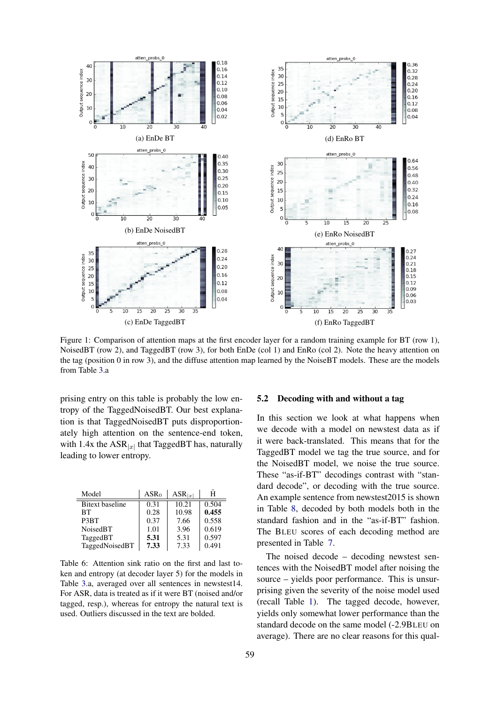<span id="page-6-1"></span>

Figure 1: Comparison of attention maps at the first encoder layer for a random training example for BT (row 1), NoisedBT (row 2), and TaggedBT (row 3), for both EnDe (col 1) and EnRo (col 2). Note the heavy attention on the tag (position 0 in row 3), and the diffuse attention map learned by the NoiseBT models. These are the models from Table [3.](#page-4-1)a

prising entry on this table is probably the low entropy of the TaggedNoisedBT. Our best explanation is that TaggedNoisedBT puts disproportionately high attention on the sentence-end token, with 1.4x the  $ASR_{|x|}$  that TaggedBT has, naturally leading to lower entropy.

<span id="page-6-0"></span>

| Model                  | $ASR_0$ | $ASR_{ x }$ | н     |
|------------------------|---------|-------------|-------|
| <b>Bitext</b> baseline | 0.31    | 10.21       | 0.504 |
| <b>BT</b>              | 0.28    | 10.98       | 0.455 |
| P <sub>3</sub> BT      | 0.37    | 7.66        | 0.558 |
| NoisedBT               | 1.01    | 3.96        | 0.619 |
| TaggedBT               | 5.31    | 5.31        | 0.597 |
| TaggedNoisedBT         | 7.33    | 7.33        | 0.491 |

Table 6: Attention sink ratio on the first and last token and entropy (at decoder layer 5) for the models in Table [3.](#page-4-1)a, averaged over all sentences in newstest14. For ASR, data is treated as if it were BT (noised and/or tagged, resp.), whereas for entropy the natural text is used. Outliers discussed in the text are bolded.

### 5.2 Decoding with and without a tag

In this section we look at what happens when we decode with a model on newstest data as if it were back-translated. This means that for the TaggedBT model we tag the true source, and for the NoisedBT model, we noise the true source. These "as-if-BT" decodings contrast with "standard decode", or decoding with the true source. An example sentence from newstest2015 is shown in Table [8,](#page-7-0) decoded by both models both in the standard fashion and in the "as-if-BT" fashion. The BLEU scores of each decoding method are presented in Table [7.](#page-7-1)

The noised decode – decoding newstest sentences with the NoisedBT model after noising the source – yields poor performance. This is unsurprising given the severity of the noise model used (recall Table [1\)](#page-2-1). The tagged decode, however, yields only somewhat lower performance than the standard decode on the same model (-2.9BLEU on average). There are no clear reasons for this qual-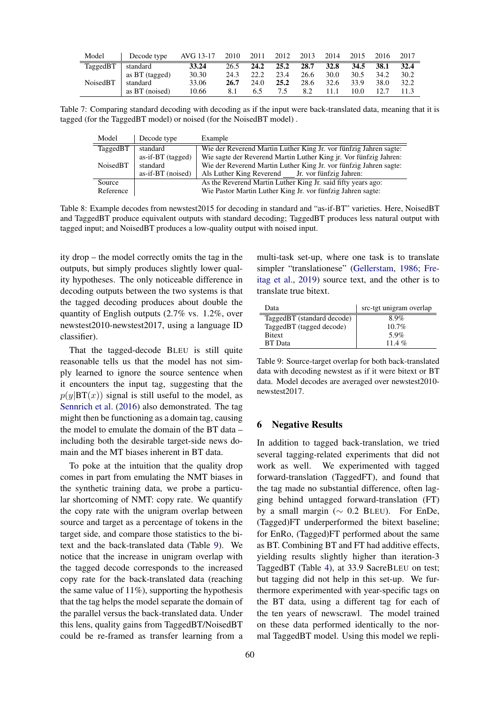<span id="page-7-1"></span>

| Model    | Decode type    | AVG 13-17 | 2010 | 2011 | 2012 | 2013 | 2014        | 2015 | 2016 | 2017 |
|----------|----------------|-----------|------|------|------|------|-------------|------|------|------|
| TaggedBT | standard       | 33.24     | 26.5 | 24.2 | 25.2 | 28.7 | <b>32.8</b> | 34.5 | 38.1 | 32.4 |
|          | as BT (tagged) | 30.30     | 24.3 | 22.2 | 23.4 | 26.6 | 30.0        | 30.5 | 34.2 | 30.2 |
| NoisedBT | standard       | 33.06     | 26.7 | 24.0 | 25.2 | 28.6 | 32.6        | 33.9 | 38.0 | 32.2 |
|          | as BT (noised) | 10.66     | 8.1  | 6.5  |      | 8.2  | 11.1        | 10.0 |      |      |

<span id="page-7-0"></span>Table 7: Comparing standard decoding with decoding as if the input were back-translated data, meaning that it is tagged (for the TaggedBT model) or noised (for the NoisedBT model) .

| Model               | Decode type                                             | Example                                                                                                                                                                                    |
|---------------------|---------------------------------------------------------|--------------------------------------------------------------------------------------------------------------------------------------------------------------------------------------------|
| TaggedBT            | standard                                                | Wie der Reverend Martin Luther King Jr. vor fünfzig Jahren sagte:                                                                                                                          |
| NoisedBT            | $as$ -if-BT (tagged)<br>standard<br>$as-if-BT$ (noised) | Wie sagte der Reverend Martin Luther King jr. Vor fünfzig Jahren:<br>Wie der Reverend Martin Luther King Jr. vor fünfzig Jahren sagte:<br>Als Luther King Reverend Jr. vor fünfzig Jahren: |
| Source<br>Reference |                                                         | As the Reverend Martin Luther King Jr. said fifty years ago:<br>Wie Pastor Martin Luther King Jr. vor fünfzig Jahren sagte:                                                                |

Table 8: Example decodes from newstest2015 for decoding in standard and "as-if-BT" varieties. Here, NoisedBT and TaggedBT produce equivalent outputs with standard decoding; TaggedBT produces less natural output with tagged input; and NoisedBT produces a low-quality output with noised input.

ity drop – the model correctly omits the tag in the outputs, but simply produces slightly lower quality hypotheses. The only noticeable difference in decoding outputs between the two systems is that the tagged decoding produces about double the quantity of English outputs (2.7% vs. 1.2%, over newstest2010-newstest2017, using a language ID classifier).

That the tagged-decode BLEU is still quite reasonable tells us that the model has not simply learned to ignore the source sentence when it encounters the input tag, suggesting that the  $p(y|BT(x))$  signal is still useful to the model, as [Sennrich et al.](#page-10-1) [\(2016\)](#page-10-1) also demonstrated. The tag might then be functioning as a domain tag, causing the model to emulate the domain of the BT data – including both the desirable target-side news domain and the MT biases inherent in BT data.

To poke at the intuition that the quality drop comes in part from emulating the NMT biases in the synthetic training data, we probe a particular shortcoming of NMT: copy rate. We quantify the copy rate with the unigram overlap between source and target as a percentage of tokens in the target side, and compare those statistics to the bitext and the back-translated data (Table [9\)](#page-7-2). We notice that the increase in unigram overlap with the tagged decode corresponds to the increased copy rate for the back-translated data (reaching the same value of  $11\%$ ), supporting the hypothesis that the tag helps the model separate the domain of the parallel versus the back-translated data. Under this lens, quality gains from TaggedBT/NoisedBT could be re-framed as transfer learning from a

<span id="page-7-2"></span>Data src-tgt unigram overlap TaggedBT (standard decode) 8.9%<br>TaggedBT (tagged decode) 10.7% TaggedBT (tagged decode) Bitext 5.9%<br>BT Data 11.4 % BT Data

Table 9: Source-target overlap for both back-translated data with decoding newstest as if it were bitext or BT data. Model decodes are averaged over newstest2010 newstest2017.

multi-task set-up, where one task is to translate simpler "translationese" [\(Gellerstam,](#page-9-21) [1986;](#page-9-21) [Fre](#page-9-22)[itag et al.,](#page-9-22) [2019\)](#page-9-22) source text, and the other is to

## 6 Negative Results

translate true bitext.

In addition to tagged back-translation, we tried several tagging-related experiments that did not work as well. We experimented with tagged forward-translation (TaggedFT), and found that the tag made no substantial difference, often lagging behind untagged forward-translation (FT) by a small margin ( $\sim$  0.2 BLEU). For EnDe, (Tagged)FT underperformed the bitext baseline; for EnRo, (Tagged)FT performed about the same as BT. Combining BT and FT had additive effects, yielding results slightly higher than iteration-3 TaggedBT (Table [4\)](#page-4-0), at 33.9 SacreBLEU on test; but tagging did not help in this set-up. We furthermore experimented with year-specific tags on the BT data, using a different tag for each of the ten years of newscrawl. The model trained on these data performed identically to the normal TaggedBT model. Using this model we repli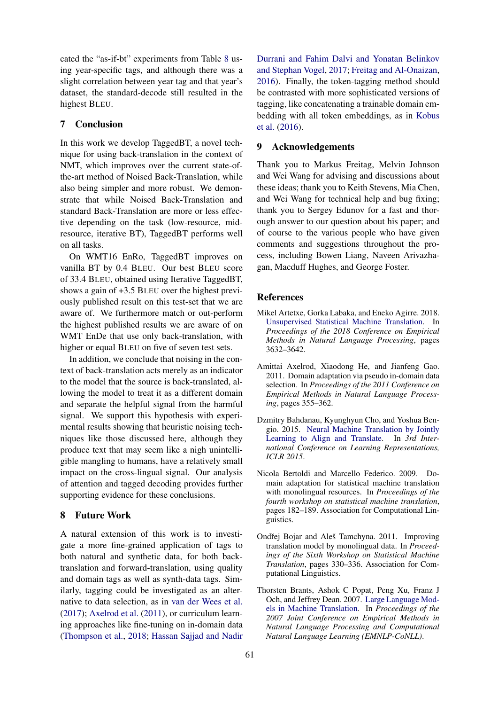cated the "as-if-bt" experiments from Table [8](#page-7-0) using year-specific tags, and although there was a slight correlation between year tag and that year's dataset, the standard-decode still resulted in the highest BLEU.

## 7 Conclusion

In this work we develop TaggedBT, a novel technique for using back-translation in the context of NMT, which improves over the current state-ofthe-art method of Noised Back-Translation, while also being simpler and more robust. We demonstrate that while Noised Back-Translation and standard Back-Translation are more or less effective depending on the task (low-resource, midresource, iterative BT), TaggedBT performs well on all tasks.

On WMT16 EnRo, TaggedBT improves on vanilla BT by 0.4 BLEU. Our best BLEU score of 33.4 BLEU, obtained using Iterative TaggedBT, shows a gain of +3.5 BLEU over the highest previously published result on this test-set that we are aware of. We furthermore match or out-perform the highest published results we are aware of on WMT EnDe that use only back-translation, with higher or equal BLEU on five of seven test sets.

In addition, we conclude that noising in the context of back-translation acts merely as an indicator to the model that the source is back-translated, allowing the model to treat it as a different domain and separate the helpful signal from the harmful signal. We support this hypothesis with experimental results showing that heuristic noising techniques like those discussed here, although they produce text that may seem like a nigh unintelligible mangling to humans, have a relatively small impact on the cross-lingual signal. Our analysis of attention and tagged decoding provides further supporting evidence for these conclusions.

## 8 Future Work

A natural extension of this work is to investigate a more fine-grained application of tags to both natural and synthetic data, for both backtranslation and forward-translation, using quality and domain tags as well as synth-data tags. Similarly, tagging could be investigated as an alternative to data selection, as in [van der Wees et al.](#page-10-15) [\(2017\)](#page-10-15); [Axelrod et al.](#page-8-5) [\(2011\)](#page-8-5), or curriculum learning approaches like fine-tuning on in-domain data [\(Thompson et al.,](#page-10-16) [2018;](#page-10-16) [Hassan Sajjad and Nadir](#page-9-23)

[Durrani and Fahim Dalvi and Yonatan Belinkov](#page-9-23) [and Stephan Vogel,](#page-9-23) [2017;](#page-9-23) [Freitag and Al-Onaizan,](#page-9-24) [2016\)](#page-9-24). Finally, the token-tagging method should be contrasted with more sophisticated versions of tagging, like concatenating a trainable domain embedding with all token embeddings, as in [Kobus](#page-9-19) [et al.](#page-9-19) [\(2016\)](#page-9-19).

## 9 Acknowledgements

Thank you to Markus Freitag, Melvin Johnson and Wei Wang for advising and discussions about these ideas; thank you to Keith Stevens, Mia Chen, and Wei Wang for technical help and bug fixing; thank you to Sergey Edunov for a fast and thorough answer to our question about his paper; and of course to the various people who have given comments and suggestions throughout the process, including Bowen Liang, Naveen Arivazhagan, Macduff Hughes, and George Foster.

### References

- <span id="page-8-2"></span>Mikel Artetxe, Gorka Labaka, and Eneko Agirre. 2018. [Unsupervised Statistical Machine Translation.](http://www.aclweb.org/anthology/D18-1399) In *Proceedings of the 2018 Conference on Empirical Methods in Natural Language Processing*, pages 3632–3642.
- <span id="page-8-5"></span>Amittai Axelrod, Xiaodong He, and Jianfeng Gao. 2011. Domain adaptation via pseudo in-domain data selection. In *Proceedings of the 2011 Conference on Empirical Methods in Natural Language Processing*, pages 355–362.
- <span id="page-8-0"></span>Dzmitry Bahdanau, Kyunghyun Cho, and Yoshua Bengio. 2015. [Neural Machine Translation by Jointly](http://arxiv.org/abs/1409.0473) [Learning to Align and Translate.](http://arxiv.org/abs/1409.0473) In *3rd International Conference on Learning Representations, ICLR 2015*.
- <span id="page-8-3"></span>Nicola Bertoldi and Marcello Federico. 2009. Domain adaptation for statistical machine translation with monolingual resources. In *Proceedings of the fourth workshop on statistical machine translation*, pages 182–189. Association for Computational Linguistics.
- <span id="page-8-4"></span>Ondřej Bojar and Aleš Tamchyna. 2011. Improving translation model by monolingual data. In *Proceedings of the Sixth Workshop on Statistical Machine Translation*, pages 330–336. Association for Computational Linguistics.
- <span id="page-8-1"></span>Thorsten Brants, Ashok C Popat, Peng Xu, Franz J Och, and Jeffrey Dean. 2007. [Large Language Mod](https://www.aclweb.org/anthology/D07-1090)[els in Machine Translation.](https://www.aclweb.org/anthology/D07-1090) In *Proceedings of the 2007 Joint Conference on Empirical Methods in Natural Language Processing and Computational Natural Language Learning (EMNLP-CoNLL)*.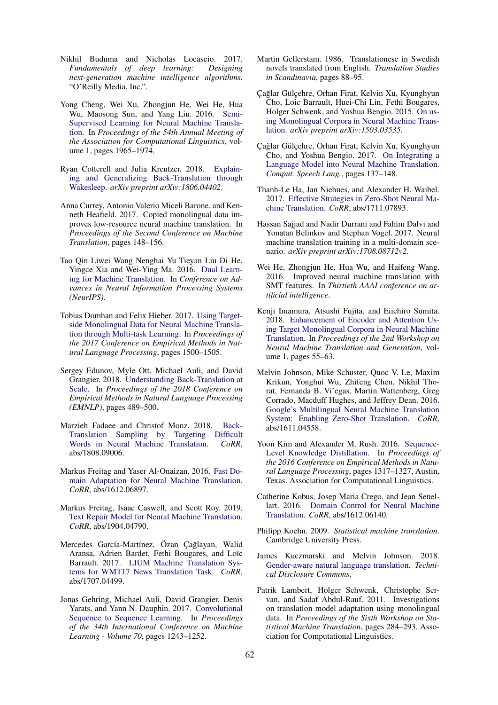- <span id="page-9-20"></span>Nikhil Buduma and Nicholas Locascio. 2017. *Fundamentals of deep learning: Designing next-generation machine intelligence algorithms*. "O'Reilly Media, Inc.".
- <span id="page-9-5"></span>Yong Cheng, Wei Xu, Zhongjun He, Wei He, Hua Wu, Maosong Sun, and Yang Liu. 2016. [Semi-](https://www.aclweb.org/anthology/P16-1185)[Supervised Learning for Neural Machine Transla](https://www.aclweb.org/anthology/P16-1185)[tion.](https://www.aclweb.org/anthology/P16-1185) In *Proceedings of the 54th Annual Meeting of the Association for Computational Linguistics*, volume 1, pages 1965–1974.
- <span id="page-9-13"></span>Ryan Cotterell and Julia Kreutzer. 2018. [Explain](https://arxiv.org/pdf/1806.04402.pdf)[ing and Generalizing Back-Translation through](https://arxiv.org/pdf/1806.04402.pdf) [Wakesleep.](https://arxiv.org/pdf/1806.04402.pdf) *arXiv preprint arXiv:1806.04402*.
- <span id="page-9-16"></span>Anna Currey, Antonio Valerio Miceli Barone, and Kenneth Heafield. 2017. Copied monolingual data improves low-resource neural machine translation. In *Proceedings of the Second Conference on Machine Translation*, pages 148–156.
- <span id="page-9-6"></span>Tao Qin Liwei Wang Nenghai Yu Tieyan Liu Di He, Yingce Xia and Wei-Ying Ma. 2016. [Dual Learn](https://papers.nips.cc/paper/6469-dual-learning-for-machine-translation.pdf)[ing for Machine Translation.](https://papers.nips.cc/paper/6469-dual-learning-for-machine-translation.pdf) In *Conference on Advances in Neural Information Processing Systems (NeurIPS)*.
- <span id="page-9-7"></span>Tobias Domhan and Felix Hieber. 2017. [Using Target](https://www.aclweb.org/anthology/D17-1158)[side Monolingual Data for Neural Machine Transla](https://www.aclweb.org/anthology/D17-1158)[tion through Multi-task Learning.](https://www.aclweb.org/anthology/D17-1158) In *Proceedings of the 2017 Conference on Empirical Methods in Natural Language Processing*, pages 1500–1505.
- <span id="page-9-10"></span>Sergey Edunov, Myle Ott, Michael Auli, and David Grangier. 2018. [Understanding Back-Translation at](http://www.aclweb.org/anthology/D18-1045) [Scale.](http://www.aclweb.org/anthology/D18-1045) In *Proceedings of the 2018 Conference on Empirical Methods in Natural Language Processing (EMNLP)*, pages 489–500.
- <span id="page-9-14"></span>Marzieh Fadaee and Christof Monz. 2018. [Back-](http://arxiv.org/abs/1808.09006)[Translation Sampling by Targeting Difficult](http://arxiv.org/abs/1808.09006) [Words in Neural Machine Translation.](http://arxiv.org/abs/1808.09006) *CoRR*, abs/1808.09006.
- <span id="page-9-24"></span>Markus Freitag and Yaser Al-Onaizan. 2016. [Fast Do](https://arxiv.org/pdf/1612.06897.pdf)[main Adaptation for Neural Machine Translation.](https://arxiv.org/pdf/1612.06897.pdf) *CoRR*, abs/1612.06897.
- <span id="page-9-22"></span>Markus Freitag, Isaac Caswell, and Scott Roy. 2019. [Text Repair Model for Neural Machine Translation.](http://arxiv.org/abs/1904.04790) *CoRR*, abs/1904.04790.
- <span id="page-9-9"></span>Mercedes García-Martínez, Özan Çağlayan, Walid Aransa, Adrien Bardet, Fethi Bougares, and Loïc Barrault. 2017. [LIUM Machine Translation Sys](http://arxiv.org/abs/1707.04499)[tems for WMT17 News Translation Task.](http://arxiv.org/abs/1707.04499) *CoRR*, abs/1707.04499.
- <span id="page-9-0"></span>Jonas Gehring, Michael Auli, David Grangier, Denis Yarats, and Yann N. Dauphin. 2017. [Convolutional](http://dl.acm.org/citation.cfm?id=3305381.3305510) [Sequence to Sequence Learning.](http://dl.acm.org/citation.cfm?id=3305381.3305510) In *Proceedings of the 34th International Conference on Machine Learning - Volume 70*, pages 1243–1252.
- <span id="page-9-21"></span>Martin Gellerstam. 1986. Translationese in Swedish novels translated from English. *Translation Studies in Scandinavia*, pages 88–95.
- <span id="page-9-3"></span>Çağlar Gülçehre, Orhan Firat, Kelvin Xu, Kyunghyun Cho, Loic Barrault, Huei-Chi Lin, Fethi Bougares, Holger Schwenk, and Yoshua Bengio. 2015. [On us](https://arxiv.org/abs/1503.03535)[ing Monolingual Corpora in Neural Machine Trans](https://arxiv.org/abs/1503.03535)[lation.](https://arxiv.org/abs/1503.03535) *arXiv preprint arXiv:1503.03535*.
- <span id="page-9-4"></span>Cağlar Gülcehre, Orhan Firat, Kelvin Xu, Kyunghyun Cho, and Yoshua Bengio. 2017. [On Integrating a](https://doi.org/10.1016/j.csl.2017.01.014) [Language Model into Neural Machine Translation.](https://doi.org/10.1016/j.csl.2017.01.014) *Comput. Speech Lang.*, pages 137–148.
- <span id="page-9-8"></span>Thanh-Le Ha, Jan Niehues, and Alexander H. Waibel. 2017. [Effective Strategies in Zero-Shot Neural Ma](http://arxiv.org/abs/1711.07893)[chine Translation.](http://arxiv.org/abs/1711.07893) *CoRR*, abs/1711.07893.
- <span id="page-9-23"></span>Hassan Sajjad and Nadir Durrani and Fahim Dalvi and Yonatan Belinkov and Stephan Vogel. 2017. Neural machine translation training in a multi-domain scenario. *arXiv preprint arXiv:1708.08712v2*.
- <span id="page-9-12"></span>Wei He, Zhongjun He, Hua Wu, and Haifeng Wang. 2016. Improved neural machine translation with SMT features. In *Thirtieth AAAI conference on artificial intelligence*.
- <span id="page-9-11"></span>Kenji Imamura, Atsushi Fujita, and Eiichiro Sumita. 2018. [Enhancement of Encoder and Attention Us](http://aclweb.org/anthology/W18-2707)[ing Target Monolingual Corpora in Neural Machine](http://aclweb.org/anthology/W18-2707) [Translation.](http://aclweb.org/anthology/W18-2707) In *Proceedings of the 2nd Workshop on Neural Machine Translation and Generation*, volume 1, pages 55–63.
- <span id="page-9-17"></span>Melvin Johnson, Mike Schuster, Quoc V. Le, Maxim Krikun, Yonghui Wu, Zhifeng Chen, Nikhil Thorat, Fernanda B. Vi'egas, Martin Wattenberg, Greg Corrado, Macduff Hughes, and Jeffrey Dean. 2016. [Google's Multilingual Neural Machine Translation](http://arxiv.org/abs/1611.04558) [System: Enabling Zero-Shot Translation.](http://arxiv.org/abs/1611.04558) *CoRR*, abs/1611.04558.
- <span id="page-9-15"></span>Yoon Kim and Alexander M. Rush. 2016. [Sequence-](https://doi.org/10.18653/v1/D16-1139)[Level Knowledge Distillation.](https://doi.org/10.18653/v1/D16-1139) In *Proceedings of the 2016 Conference on Empirical Methods in Natural Language Processing*, pages 1317–1327, Austin, Texas. Association for Computational Linguistics.
- <span id="page-9-19"></span>Catherine Kobus, Josep Maria Crego, and Jean Senellart. 2016. [Domain Control for Neural Machine](http://arxiv.org/abs/1612.06140) [Translation.](http://arxiv.org/abs/1612.06140) *CoRR*, abs/1612.06140.
- <span id="page-9-2"></span>Philipp Koehn. 2009. *Statistical machine translation*. Cambridge University Press.
- <span id="page-9-18"></span>James Kuczmarski and Melvin Johnson. 2018. [Gender-aware natural language translation.](https://www.tdcommons.org/dpubs_series/1577) *Technical Disclosure Commons*.
- <span id="page-9-1"></span>Patrik Lambert, Holger Schwenk, Christophe Servan, and Sadaf Abdul-Rauf. 2011. Investigations on translation model adaptation using monolingual data. In *Proceedings of the Sixth Workshop on Statistical Machine Translation*, pages 284–293. Association for Computational Linguistics.